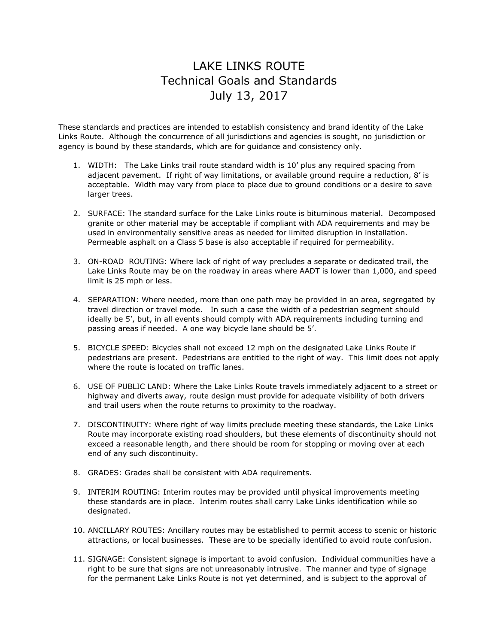## LAKE LINKS ROUTE Technical Goals and Standards July 13, 2017

These standards and practices are intended to establish consistency and brand identity of the Lake Links Route. Although the concurrence of all jurisdictions and agencies is sought, no jurisdiction or agency is bound by these standards, which are for guidance and consistency only.

- 1. WIDTH: The Lake Links trail route standard width is 10' plus any required spacing from adjacent pavement. If right of way limitations, or available ground require a reduction, 8' is acceptable. Width may vary from place to place due to ground conditions or a desire to save larger trees.
- 2. SURFACE: The standard surface for the Lake Links route is bituminous material. Decomposed granite or other material may be acceptable if compliant with ADA requirements and may be used in environmentally sensitive areas as needed for limited disruption in installation. Permeable asphalt on a Class 5 base is also acceptable if required for permeability.
- 3. ON-ROAD ROUTING: Where lack of right of way precludes a separate or dedicated trail, the Lake Links Route may be on the roadway in areas where AADT is lower than 1,000, and speed limit is 25 mph or less.
- 4. SEPARATION: Where needed, more than one path may be provided in an area, segregated by travel direction or travel mode. In such a case the width of a pedestrian segment should ideally be 5', but, in all events should comply with ADA requirements including turning and passing areas if needed. A one way bicycle lane should be 5'.
- 5. BICYCLE SPEED: Bicycles shall not exceed 12 mph on the designated Lake Links Route if pedestrians are present. Pedestrians are entitled to the right of way. This limit does not apply where the route is located on traffic lanes.
- 6. USE OF PUBLIC LAND: Where the Lake Links Route travels immediately adjacent to a street or highway and diverts away, route design must provide for adequate visibility of both drivers and trail users when the route returns to proximity to the roadway.
- 7. DISCONTINUITY: Where right of way limits preclude meeting these standards, the Lake Links Route may incorporate existing road shoulders, but these elements of discontinuity should not exceed a reasonable length, and there should be room for stopping or moving over at each end of any such discontinuity.
- 8. GRADES: Grades shall be consistent with ADA requirements.
- 9. INTERIM ROUTING: Interim routes may be provided until physical improvements meeting these standards are in place. Interim routes shall carry Lake Links identification while so designated.
- 10. ANCILLARY ROUTES: Ancillary routes may be established to permit access to scenic or historic attractions, or local businesses. These are to be specially identified to avoid route confusion.
- 11. SIGNAGE: Consistent signage is important to avoid confusion. Individual communities have a right to be sure that signs are not unreasonably intrusive. The manner and type of signage for the permanent Lake Links Route is not yet determined, and is subject to the approval of